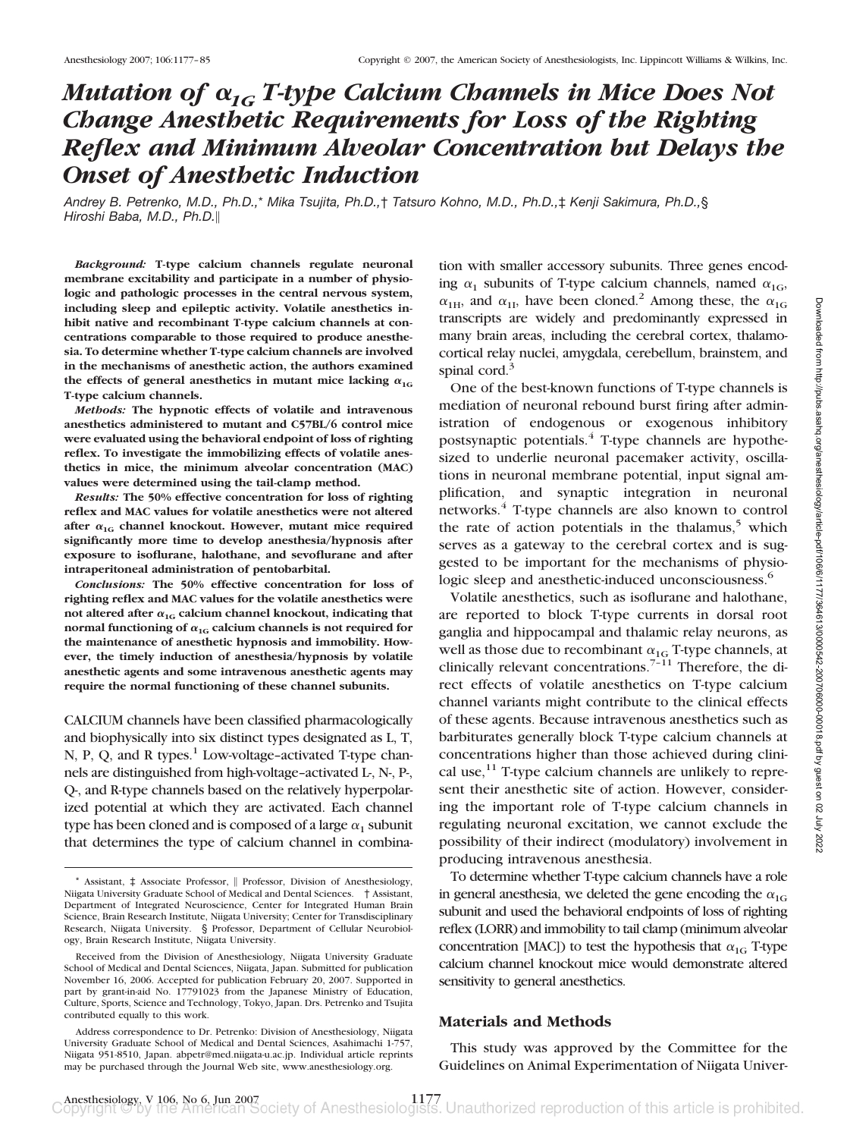# *Mutation of*  $\alpha_{1G}$  *T-type Calcium Channels in Mice Does Not Change Anesthetic Requirements for Loss of the Righting Reflex and Minimum Alveolar Concentration but Delays the Onset of Anesthetic Induction*

*Andrey B. Petrenko, M.D., Ph.D.,*\* *Mika Tsujita, Ph.D.,*† *Tatsuro Kohno, M.D., Ph.D.,*‡ *Kenji Sakimura, Ph.D.,*§ *Hiroshi Baba, M.D., Ph.D.*

*Background:* **T-type calcium channels regulate neuronal membrane excitability and participate in a number of physiologic and pathologic processes in the central nervous system, including sleep and epileptic activity. Volatile anesthetics inhibit native and recombinant T-type calcium channels at concentrations comparable to those required to produce anesthesia. To determine whether T-type calcium channels are involved in the mechanisms of anesthetic action, the authors examined** the effects of general anesthetics in mutant mice lacking  $\alpha_{1G}$ **T-type calcium channels.**

*Methods:* **The hypnotic effects of volatile and intravenous anesthetics administered to mutant and C57BL/6 control mice were evaluated using the behavioral endpoint of loss of righting reflex. To investigate the immobilizing effects of volatile anesthetics in mice, the minimum alveolar concentration (MAC) values were determined using the tail-clamp method.**

*Results:* **The 50% effective concentration for loss of righting reflex and MAC values for volatile anesthetics were not altered** after  $\alpha_{1G}$  channel knockout. However, mutant mice required **significantly more time to develop anesthesia/hypnosis after exposure to isoflurane, halothane, and sevoflurane and after intraperitoneal administration of pentobarbital.**

*Conclusions:* **The 50% effective concentration for loss of righting reflex and MAC values for the volatile anesthetics were** not altered after  $\alpha_{1G}$  calcium channel knockout, indicating that normal functioning of  $\alpha_{1G}$  calcium channels is not required for **the maintenance of anesthetic hypnosis and immobility. However, the timely induction of anesthesia/hypnosis by volatile anesthetic agents and some intravenous anesthetic agents may require the normal functioning of these channel subunits.**

CALCIUM channels have been classified pharmacologically and biophysically into six distinct types designated as L, T, N, P, Q, and R types. $<sup>1</sup>$  Low-voltage-activated T-type chan-</sup> nels are distinguished from high-voltage–activated L-, N-, P-, Q-, and R-type channels based on the relatively hyperpolarized potential at which they are activated. Each channel type has been cloned and is composed of a large  $\alpha_1$  subunit that determines the type of calcium channel in combination with smaller accessory subunits. Three genes encoding  $\alpha_1$  subunits of T-type calcium channels, named  $\alpha_{1G}$ ,  $\alpha_{1H}$ , and  $\alpha_{1L}$  have been cloned.<sup>2</sup> Among these, the  $\alpha_{1G}$ transcripts are widely and predominantly expressed in many brain areas, including the cerebral cortex, thalamocortical relay nuclei, amygdala, cerebellum, brainstem, and spinal cord.<sup>3</sup>

One of the best-known functions of T-type channels is mediation of neuronal rebound burst firing after administration of endogenous or exogenous inhibitory postsynaptic potentials.<sup>4</sup> T-type channels are hypothesized to underlie neuronal pacemaker activity, oscillations in neuronal membrane potential, input signal amplification, and synaptic integration in neuronal networks.<sup>4</sup> T-type channels are also known to control the rate of action potentials in the thalamus, $5$  which serves as a gateway to the cerebral cortex and is suggested to be important for the mechanisms of physiologic sleep and anesthetic-induced unconsciousness.<sup>6</sup>

Volatile anesthetics, such as isoflurane and halothane, are reported to block T-type currents in dorsal root ganglia and hippocampal and thalamic relay neurons, as well as those due to recombinant  $\alpha_{1G}$  T-type channels, at clinically relevant concentrations.<sup>7-11</sup> Therefore, the direct effects of volatile anesthetics on T-type calcium channel variants might contribute to the clinical effects of these agents. Because intravenous anesthetics such as barbiturates generally block T-type calcium channels at concentrations higher than those achieved during clinical use, $^{11}$  T-type calcium channels are unlikely to represent their anesthetic site of action. However, considering the important role of T-type calcium channels in regulating neuronal excitation, we cannot exclude the possibility of their indirect (modulatory) involvement in producing intravenous anesthesia.

To determine whether T-type calcium channels have a role in general anesthesia, we deleted the gene encoding the  $\alpha_{1G}$ subunit and used the behavioral endpoints of loss of righting reflex (LORR) and immobility to tail clamp (minimum alveolar concentration [MAC]) to test the hypothesis that  $\alpha_{1G}$  T-type calcium channel knockout mice would demonstrate altered sensitivity to general anesthetics.

### **Materials and Methods**

This study was approved by the Committee for the Guidelines on Animal Experimentation of Niigata Univer-

<sup>\*</sup> Assistant,  $\pm$  Associate Professor, || Professor, Division of Anesthesiology, Niigata University Graduate School of Medical and Dental Sciences. † Assistant, Department of Integrated Neuroscience, Center for Integrated Human Brain Science, Brain Research Institute, Niigata University; Center for Transdisciplinary Research, Niigata University. § Professor, Department of Cellular Neurobiology, Brain Research Institute, Niigata University.

Received from the Division of Anesthesiology, Niigata University Graduate School of Medical and Dental Sciences, Niigata, Japan. Submitted for publication November 16, 2006. Accepted for publication February 20, 2007. Supported in part by grant-in-aid No. 17791023 from the Japanese Ministry of Education, Culture, Sports, Science and Technology, Tokyo, Japan. Drs. Petrenko and Tsujita contributed equally to this work.

Address correspondence to Dr. Petrenko: Division of Anesthesiology, Niigata University Graduate School of Medical and Dental Sciences, Asahimachi 1-757, Niigata 951-8510, Japan. abpetr@med.niigata-u.ac.jp. Individual article reprints may be purchased through the Journal Web site, www.anesthesiology.org.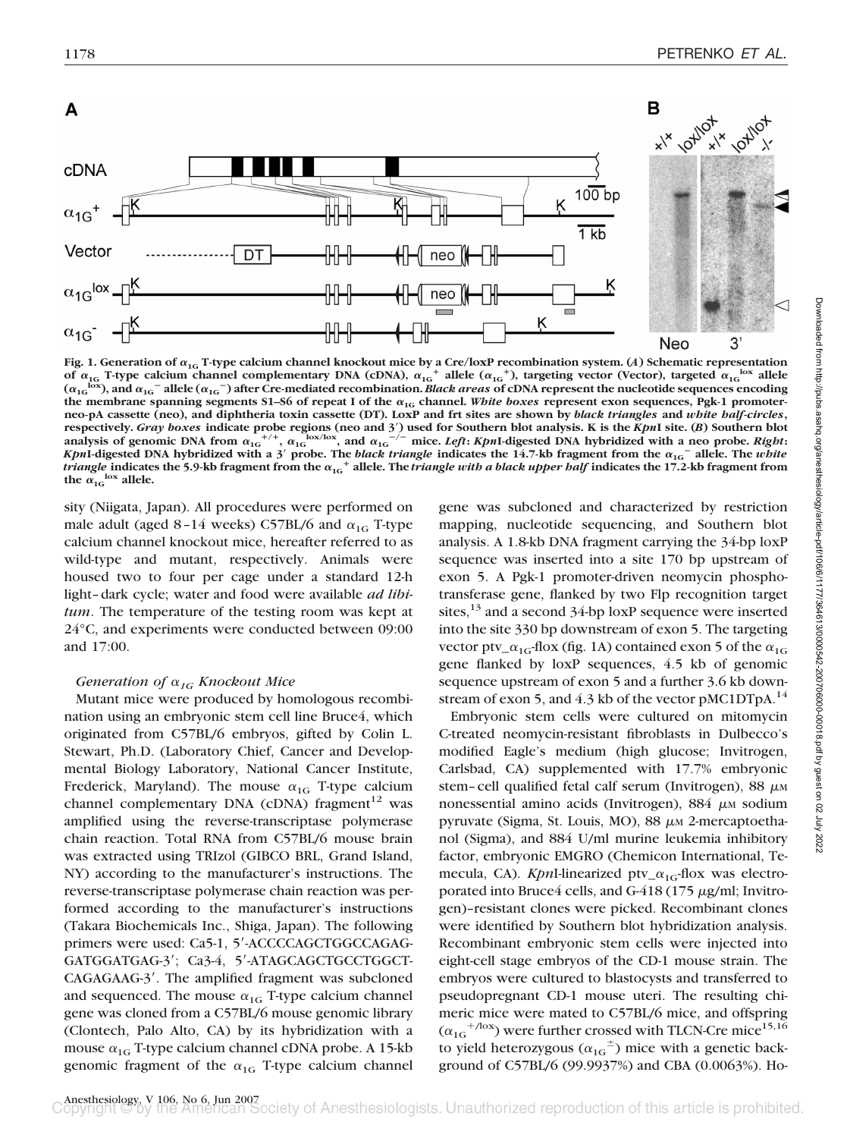

**Fig. 1. Generation of 1G T-type calcium channel knockout mice by a Cre/loxP recombination system. (***A***) Schematic representation** of  $\alpha_{1G}$  T-type calcium channel complementary DNA (cDNA),  $\alpha_{1G}^+$  allele ( $\alpha_{1G}^+$ ), targeting vector (Vector), targeted  $\alpha_{1G}^{\text{box}}$  allele  $(\alpha_{1G}^{$  lox), and  $\alpha_{1G}$ <sup>-</sup> allele  $(\alpha_{1G}^-)$  after Cre-mediated recombination. *Black areas* of cDNA represent the nucleotide sequences encoding the membrane spanning segments S1–S6 of repeat I of the  $\alpha_{1G}$  channel. White boxes represent exon sequences, Pgk-1 promoter**neo-pA cassette (neo), and diphtheria toxin cassette (DT). LoxP and frt sites are shown by** *black triangles* **and** *white half-circles***, respectively.** *Gray boxes* **indicate probe regions (neo and 3**=**) used for Southern blot analysis. K is the** *Kpn***I site. (***B***) Southern blot** analysis of genomic DNA from  $\alpha_{1G}^{+/-}$ ,  $\alpha_{1G}^{+}$  lox/lox, and  $\alpha_{1G}^{--}$  mice. Left: KpnI-digested DNA hybridized with a neo probe. Right: *KpnI*-digested DNA hybridized with a 3<sup>'</sup> probe. The *black triangle* indicates the 14.7-kb fragment from the  $\alpha_{1G}$ <sup>-</sup> allele. The *white*  $t$ riangle indicates the 5.9-kb fragment from the  $\alpha_{1G}^+$  allele. The *triangle with a black upper half* indicates the 17.2-kb fragment from the  $\alpha_{1G}^{\text{box}}$  allele.

sity (Niigata, Japan). All procedures were performed on male adult (aged 8-14 weeks) C57BL/6 and  $\alpha_{1G}$  T-type calcium channel knockout mice, hereafter referred to as wild-type and mutant, respectively. Animals were housed two to four per cage under a standard 12-h light–dark cycle; water and food were available *ad libitum*. The temperature of the testing room was kept at 24°C, and experiments were conducted between 09:00 and 17:00.

#### *Generation of*  $\alpha_{1G}$  *Knockout Mice*

Mutant mice were produced by homologous recombination using an embryonic stem cell line Bruce4, which originated from C57BL/6 embryos, gifted by Colin L. Stewart, Ph.D. (Laboratory Chief, Cancer and Developmental Biology Laboratory, National Cancer Institute, Frederick, Maryland). The mouse  $\alpha_{1G}$  T-type calcium channel complementary DNA (cDNA) fragment $12$  was amplified using the reverse-transcriptase polymerase chain reaction. Total RNA from C57BL/6 mouse brain was extracted using TRIzol (GIBCO BRL, Grand Island, NY) according to the manufacturer's instructions. The reverse-transcriptase polymerase chain reaction was performed according to the manufacturer's instructions (Takara Biochemicals Inc., Shiga, Japan). The following primers were used: Ca5-1, 5'-ACCCCAGCTGGCCAGAG-GATGGATGAG-3'; Ca3-4, 5'-ATAGCAGCTGCCTGGCT-CAGAGAAG-3'. The amplified fragment was subcloned and sequenced. The mouse  $\alpha_{1G}$  T-type calcium channel gene was cloned from a C57BL/6 mouse genomic library (Clontech, Palo Alto, CA) by its hybridization with a mouse  $\alpha_{1G}$  T-type calcium channel cDNA probe. A 15-kb genomic fragment of the  $\alpha_{1G}$  T-type calcium channel

gene was subcloned and characterized by restriction mapping, nucleotide sequencing, and Southern blot analysis. A 1.8-kb DNA fragment carrying the 34-bp loxP sequence was inserted into a site 170 bp upstream of exon 5. A Pgk-1 promoter-driven neomycin phosphotransferase gene, flanked by two Flp recognition target sites,  $^{13}$  and a second 34-bp loxP sequence were inserted into the site 330 bp downstream of exon 5. The targeting vector ptv\_ $\alpha_{1G}$ -flox (fig. 1A) contained exon 5 of the  $\alpha_{1G}$ gene flanked by loxP sequences, 4.5 kb of genomic sequence upstream of exon 5 and a further 3.6 kb downstream of exon 5, and  $4.3$  kb of the vector pMC1DTpA.<sup>14</sup>

Embryonic stem cells were cultured on mitomycin C-treated neomycin-resistant fibroblasts in Dulbecco's modified Eagle's medium (high glucose; Invitrogen, Carlsbad, CA) supplemented with 17.7% embryonic stem-cell qualified fetal calf serum (Invitrogen), 88  $\mu$ M nonessential amino acids (Invitrogen), 884 µm sodium pyruvate (Sigma, St. Louis, MO), 88  $\mu$ M 2-mercaptoethanol (Sigma), and 884 U/ml murine leukemia inhibitory factor, embryonic EMGRO (Chemicon International, Temecula, CA). *Kpn*I-linearized ptv<sub>- $\alpha_{1G}$ -flox was electro-</sub> porated into Bruce4 cells, and  $G-418$  (175  $\mu$ g/ml; Invitrogen)–resistant clones were picked. Recombinant clones were identified by Southern blot hybridization analysis. Recombinant embryonic stem cells were injected into eight-cell stage embryos of the CD-1 mouse strain. The embryos were cultured to blastocysts and transferred to pseudopregnant CD-1 mouse uteri. The resulting chimeric mice were mated to C57BL/6 mice, and offspring  $(\alpha_{1G}^{+/lox})$  were further crossed with TLCN-Cre mice<sup>15,16</sup> to yield heterozygous ( $\alpha_{1G}^{\dagger}$ ) mice with a genetic background of C57BL/6 (99.9937%) and CBA (0.0063%). Ho-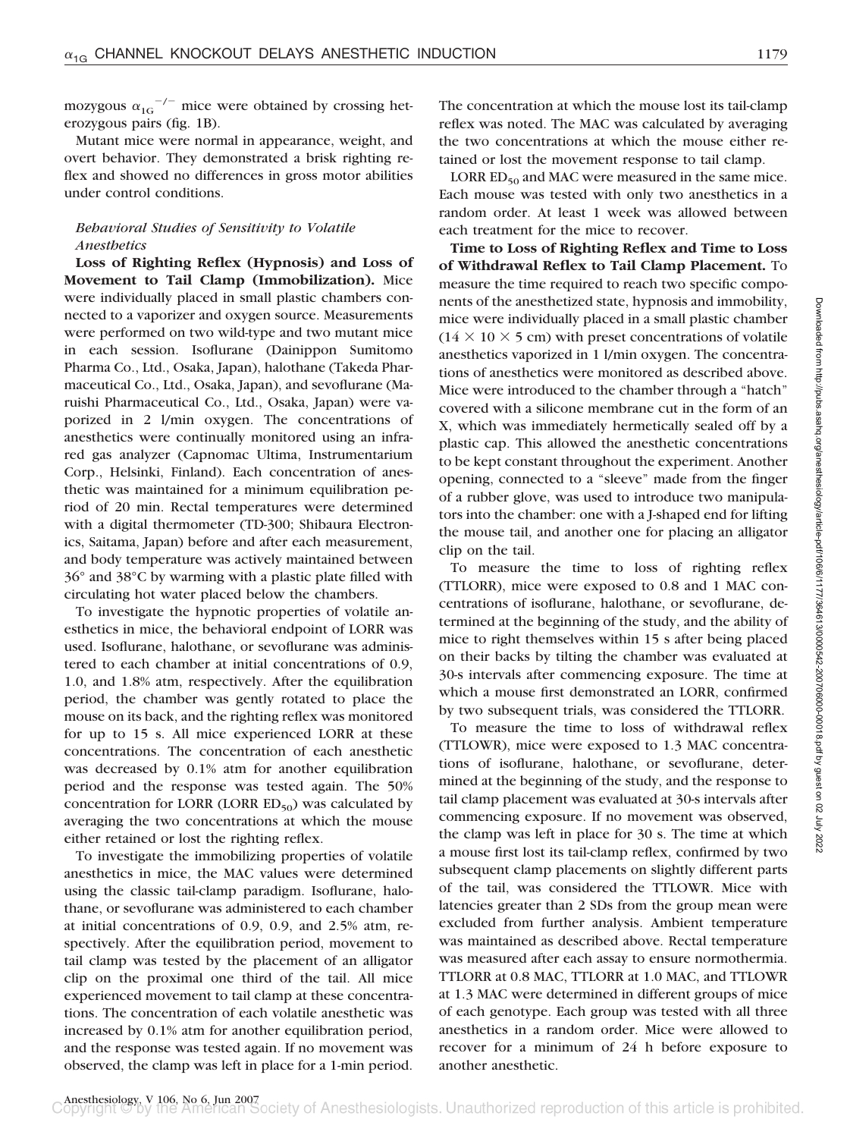mozygous  $\alpha_{1G}$ <sup>-/-</sup> mice were obtained by crossing heterozygous pairs (fig. 1B).

Mutant mice were normal in appearance, weight, and overt behavior. They demonstrated a brisk righting reflex and showed no differences in gross motor abilities under control conditions.

## *Behavioral Studies of Sensitivity to Volatile Anesthetics*

**Loss of Righting Reflex (Hypnosis) and Loss of Movement to Tail Clamp (Immobilization).** Mice were individually placed in small plastic chambers connected to a vaporizer and oxygen source. Measurements were performed on two wild-type and two mutant mice in each session. Isoflurane (Dainippon Sumitomo Pharma Co., Ltd., Osaka, Japan), halothane (Takeda Pharmaceutical Co., Ltd., Osaka, Japan), and sevoflurane (Maruishi Pharmaceutical Co., Ltd., Osaka, Japan) were vaporized in 2 l/min oxygen. The concentrations of anesthetics were continually monitored using an infrared gas analyzer (Capnomac Ultima, Instrumentarium Corp., Helsinki, Finland). Each concentration of anesthetic was maintained for a minimum equilibration period of 20 min. Rectal temperatures were determined with a digital thermometer (TD-300; Shibaura Electronics, Saitama, Japan) before and after each measurement, and body temperature was actively maintained between 36° and 38°C by warming with a plastic plate filled with circulating hot water placed below the chambers.

To investigate the hypnotic properties of volatile anesthetics in mice, the behavioral endpoint of LORR was used. Isoflurane, halothane, or sevoflurane was administered to each chamber at initial concentrations of 0.9, 1.0, and 1.8% atm, respectively. After the equilibration period, the chamber was gently rotated to place the mouse on its back, and the righting reflex was monitored for up to 15 s. All mice experienced LORR at these concentrations. The concentration of each anesthetic was decreased by 0.1% atm for another equilibration period and the response was tested again. The 50% concentration for LORR (LORR  $ED_{50}$ ) was calculated by averaging the two concentrations at which the mouse either retained or lost the righting reflex.

To investigate the immobilizing properties of volatile anesthetics in mice, the MAC values were determined using the classic tail-clamp paradigm. Isoflurane, halothane, or sevoflurane was administered to each chamber at initial concentrations of 0.9, 0.9, and 2.5% atm, respectively. After the equilibration period, movement to tail clamp was tested by the placement of an alligator clip on the proximal one third of the tail. All mice experienced movement to tail clamp at these concentrations. The concentration of each volatile anesthetic was increased by 0.1% atm for another equilibration period, and the response was tested again. If no movement was observed, the clamp was left in place for a 1-min period. The concentration at which the mouse lost its tail-clamp reflex was noted. The MAC was calculated by averaging the two concentrations at which the mouse either retained or lost the movement response to tail clamp.

LORR  $ED_{50}$  and MAC were measured in the same mice. Each mouse was tested with only two anesthetics in a random order. At least 1 week was allowed between each treatment for the mice to recover.

**Time to Loss of Righting Reflex and Time to Loss of Withdrawal Reflex to Tail Clamp Placement.** To measure the time required to reach two specific components of the anesthetized state, hypnosis and immobility, mice were individually placed in a small plastic chamber  $(14 \times 10 \times 5$  cm) with preset concentrations of volatile anesthetics vaporized in 1 l/min oxygen. The concentrations of anesthetics were monitored as described above. Mice were introduced to the chamber through a "hatch" covered with a silicone membrane cut in the form of an X, which was immediately hermetically sealed off by a plastic cap. This allowed the anesthetic concentrations to be kept constant throughout the experiment. Another opening, connected to a "sleeve" made from the finger of a rubber glove, was used to introduce two manipulators into the chamber: one with a J-shaped end for lifting the mouse tail, and another one for placing an alligator clip on the tail.

To measure the time to loss of righting reflex (TTLORR), mice were exposed to 0.8 and 1 MAC concentrations of isoflurane, halothane, or sevoflurane, determined at the beginning of the study, and the ability of mice to right themselves within 15 s after being placed on their backs by tilting the chamber was evaluated at 30-s intervals after commencing exposure. The time at which a mouse first demonstrated an LORR, confirmed by two subsequent trials, was considered the TTLORR.

To measure the time to loss of withdrawal reflex (TTLOWR), mice were exposed to 1.3 MAC concentrations of isoflurane, halothane, or sevoflurane, determined at the beginning of the study, and the response to tail clamp placement was evaluated at 30-s intervals after commencing exposure. If no movement was observed, the clamp was left in place for 30 s. The time at which a mouse first lost its tail-clamp reflex, confirmed by two subsequent clamp placements on slightly different parts of the tail, was considered the TTLOWR. Mice with latencies greater than 2 SDs from the group mean were excluded from further analysis. Ambient temperature was maintained as described above. Rectal temperature was measured after each assay to ensure normothermia. TTLORR at 0.8 MAC, TTLORR at 1.0 MAC, and TTLOWR at 1.3 MAC were determined in different groups of mice of each genotype. Each group was tested with all three anesthetics in a random order. Mice were allowed to recover for a minimum of 24 h before exposure to another anesthetic.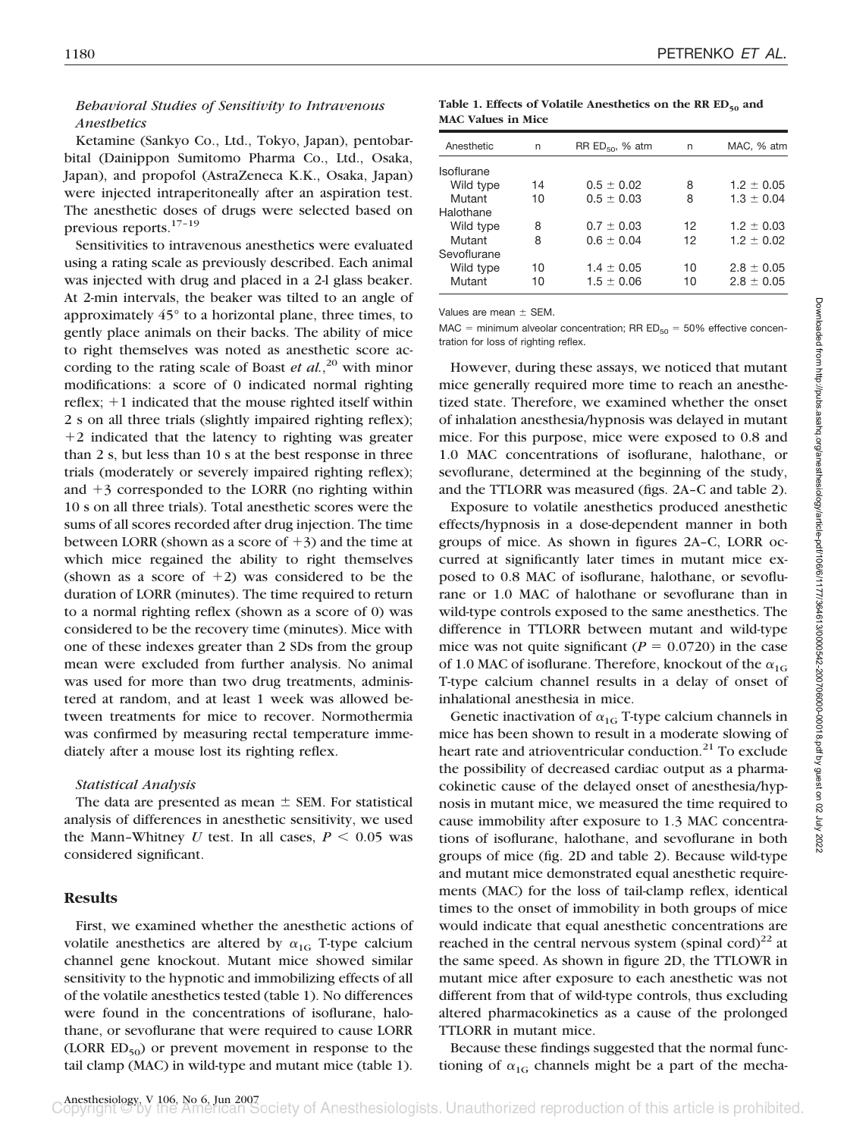## *Behavioral Studies of Sensitivity to Intravenous Anesthetics*

Ketamine (Sankyo Co., Ltd., Tokyo, Japan), pentobarbital (Dainippon Sumitomo Pharma Co., Ltd., Osaka, Japan), and propofol (AstraZeneca K.K., Osaka, Japan) were injected intraperitoneally after an aspiration test. The anesthetic doses of drugs were selected based on previous reports.17–19

Sensitivities to intravenous anesthetics were evaluated using a rating scale as previously described. Each animal was injected with drug and placed in a 2-l glass beaker. At 2-min intervals, the beaker was tilted to an angle of approximately 45° to a horizontal plane, three times, to gently place animals on their backs. The ability of mice to right themselves was noted as anesthetic score according to the rating scale of Boast *et al.*, <sup>20</sup> with minor modifications: a score of 0 indicated normal righting reflex;  $+1$  indicated that the mouse righted itself within 2 s on all three trials (slightly impaired righting reflex); 2 indicated that the latency to righting was greater than 2 s, but less than 10 s at the best response in three trials (moderately or severely impaired righting reflex); and  $+3$  corresponded to the LORR (no righting within 10 s on all three trials). Total anesthetic scores were the sums of all scores recorded after drug injection. The time between LORR (shown as a score of  $+3$ ) and the time at which mice regained the ability to right themselves (shown as a score of  $+2$ ) was considered to be the duration of LORR (minutes). The time required to return to a normal righting reflex (shown as a score of 0) was considered to be the recovery time (minutes). Mice with one of these indexes greater than 2 SDs from the group mean were excluded from further analysis. No animal was used for more than two drug treatments, administered at random, and at least 1 week was allowed between treatments for mice to recover. Normothermia was confirmed by measuring rectal temperature immediately after a mouse lost its righting reflex.

#### *Statistical Analysis*

The data are presented as mean  $\pm$  SEM. For statistical analysis of differences in anesthetic sensitivity, we used the Mann-Whitney *U* test. In all cases,  $P \leq 0.05$  was considered significant.

#### **Results**

First, we examined whether the anesthetic actions of volatile anesthetics are altered by  $\alpha_{1G}$  T-type calcium channel gene knockout. Mutant mice showed similar sensitivity to the hypnotic and immobilizing effects of all of the volatile anesthetics tested (table 1). No differences were found in the concentrations of isoflurane, halothane, or sevoflurane that were required to cause LORR (LORR  $ED_{50}$ ) or prevent movement in response to the tail clamp (MAC) in wild-type and mutant mice (table 1).

Table 1. Effects of Volatile Anesthetics on the RR ED<sub>50</sub> and **MAC Values in Mice**

| n  |                | n                    | MAC, % atm     |
|----|----------------|----------------------|----------------|
|    |                |                      |                |
|    |                |                      |                |
| 14 | $0.5 \pm 0.02$ | 8                    | $1.2 \pm 0.05$ |
| 10 | $0.5 \pm 0.03$ | 8                    | $1.3 \pm 0.04$ |
|    |                |                      |                |
| 8  | $0.7 \pm 0.03$ | 12                   | $1.2 \pm 0.03$ |
| 8  | $0.6 \pm 0.04$ | 12                   | $1.2 \pm 0.02$ |
|    |                |                      |                |
| 10 | $1.4 \pm 0.05$ | 10                   | $2.8 \pm 0.05$ |
| 10 | $1.5 \pm 0.06$ | 10                   | $2.8 \pm 0.05$ |
|    |                | RR $ED_{50}$ , % atm |                |

Values are mean  $\pm$  SEM.

MAC = minimum alveolar concentration; RR  $ED_{50} = 50\%$  effective concentration for loss of righting reflex.

However, during these assays, we noticed that mutant mice generally required more time to reach an anesthetized state. Therefore, we examined whether the onset of inhalation anesthesia/hypnosis was delayed in mutant mice. For this purpose, mice were exposed to 0.8 and 1.0 MAC concentrations of isoflurane, halothane, or sevoflurane, determined at the beginning of the study, and the TTLORR was measured (figs. 2A–C and table 2).

Exposure to volatile anesthetics produced anesthetic effects/hypnosis in a dose-dependent manner in both groups of mice. As shown in figures 2A–C, LORR occurred at significantly later times in mutant mice exposed to 0.8 MAC of isoflurane, halothane, or sevoflurane or 1.0 MAC of halothane or sevoflurane than in wild-type controls exposed to the same anesthetics. The difference in TTLORR between mutant and wild-type mice was not quite significant ( $P = 0.0720$ ) in the case of 1.0 MAC of isoflurane. Therefore, knockout of the  $\alpha_{1G}$ T-type calcium channel results in a delay of onset of inhalational anesthesia in mice.

Genetic inactivation of  $\alpha_{1G}$  T-type calcium channels in mice has been shown to result in a moderate slowing of heart rate and atrioventricular conduction.<sup>21</sup> To exclude the possibility of decreased cardiac output as a pharmacokinetic cause of the delayed onset of anesthesia/hypnosis in mutant mice, we measured the time required to cause immobility after exposure to 1.3 MAC concentrations of isoflurane, halothane, and sevoflurane in both groups of mice (fig. 2D and table 2). Because wild-type and mutant mice demonstrated equal anesthetic requirements (MAC) for the loss of tail-clamp reflex, identical times to the onset of immobility in both groups of mice would indicate that equal anesthetic concentrations are reached in the central nervous system (spinal cord)<sup>22</sup> at the same speed. As shown in figure 2D, the TTLOWR in mutant mice after exposure to each anesthetic was not different from that of wild-type controls, thus excluding altered pharmacokinetics as a cause of the prolonged TTLORR in mutant mice.

Because these findings suggested that the normal functioning of  $\alpha_{1G}$  channels might be a part of the mecha-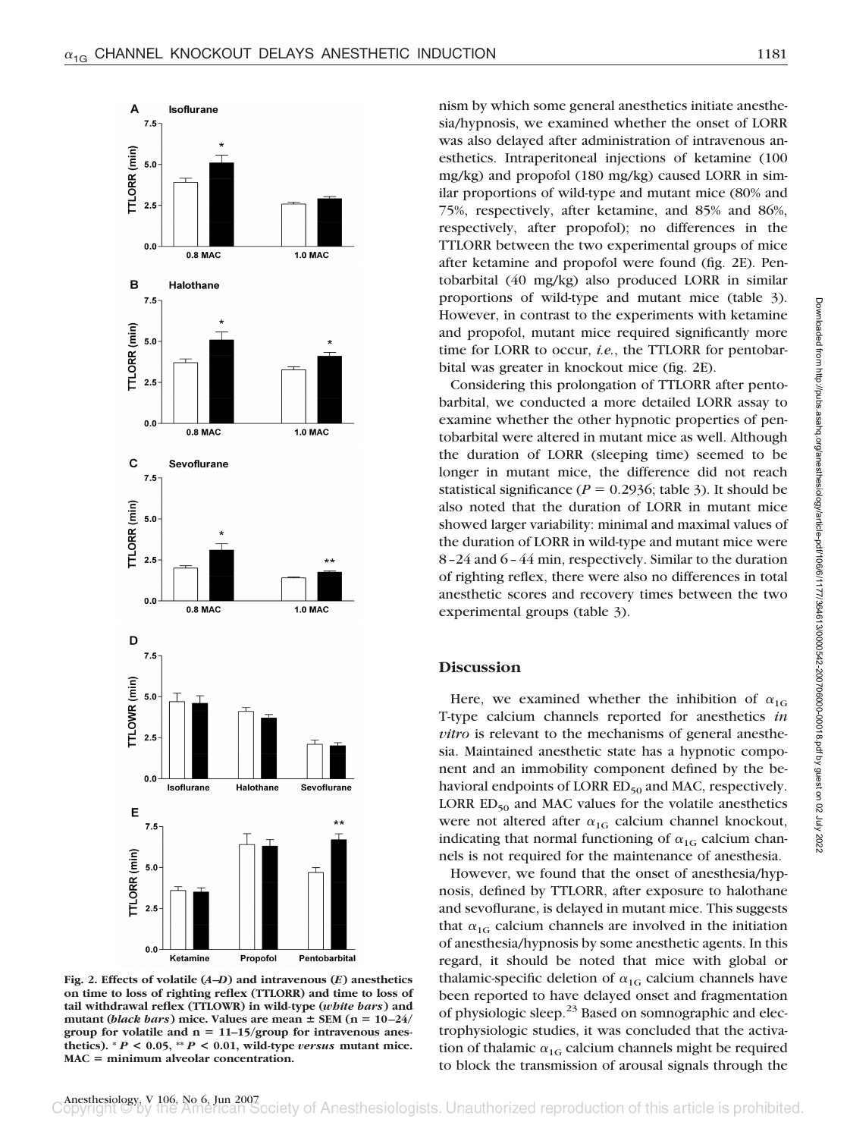

**Fig. 2. Effects of volatile (***A***–***D***) and intravenous (***E***) anesthetics on time to loss of righting reflex (TTLORR) and time to loss of tail withdrawal reflex (TTLOWR) in wild-type (***white bars***) and** mutant (*black bars*) mice. Values are mean  $\pm$  SEM ( $n = 10-24$ / **group for volatile and n 11–15/group for intravenous anes**thetics).  $^*P$  < 0.05,  $^*P$  < 0.01, wild-type *versus* mutant mice. **MAC minimum alveolar concentration.**

nism by which some general anesthetics initiate anesthesia/hypnosis, we examined whether the onset of LORR was also delayed after administration of intravenous anesthetics. Intraperitoneal injections of ketamine (100 mg/kg) and propofol (180 mg/kg) caused LORR in similar proportions of wild-type and mutant mice (80% and 75%, respectively, after ketamine, and 85% and 86%, respectively, after propofol); no differences in the TTLORR between the two experimental groups of mice after ketamine and propofol were found (fig. 2E). Pentobarbital (40 mg/kg) also produced LORR in similar proportions of wild-type and mutant mice (table 3). However, in contrast to the experiments with ketamine and propofol, mutant mice required significantly more time for LORR to occur, *i.e.*, the TTLORR for pentobarbital was greater in knockout mice (fig. 2E).

Considering this prolongation of TTLORR after pentobarbital, we conducted a more detailed LORR assay to examine whether the other hypnotic properties of pentobarbital were altered in mutant mice as well. Although the duration of LORR (sleeping time) seemed to be longer in mutant mice, the difference did not reach statistical significance ( $P = 0.2936$ ; table 3). It should be also noted that the duration of LORR in mutant mice showed larger variability: minimal and maximal values of the duration of LORR in wild-type and mutant mice were 8–24 and 6–44 min, respectively. Similar to the duration of righting reflex, there were also no differences in total anesthetic scores and recovery times between the two experimental groups (table 3).

## **Discussion**

Here, we examined whether the inhibition of  $\alpha_{1G}$ T-type calcium channels reported for anesthetics *in vitro* is relevant to the mechanisms of general anesthesia. Maintained anesthetic state has a hypnotic component and an immobility component defined by the behavioral endpoints of LORR  $ED_{50}$  and MAC, respectively. LORR  $ED_{50}$  and MAC values for the volatile anesthetics were not altered after  $\alpha_{1G}$  calcium channel knockout, indicating that normal functioning of  $\alpha_{1G}$  calcium channels is not required for the maintenance of anesthesia.

However, we found that the onset of anesthesia/hypnosis, defined by TTLORR, after exposure to halothane and sevoflurane, is delayed in mutant mice. This suggests that  $\alpha_{1G}$  calcium channels are involved in the initiation of anesthesia/hypnosis by some anesthetic agents. In this regard, it should be noted that mice with global or thalamic-specific deletion of  $\alpha_{1G}$  calcium channels have been reported to have delayed onset and fragmentation of physiologic sleep.<sup>23</sup> Based on somnographic and electrophysiologic studies, it was concluded that the activation of thalamic  $\alpha_{1G}$  calcium channels might be required to block the transmission of arousal signals through the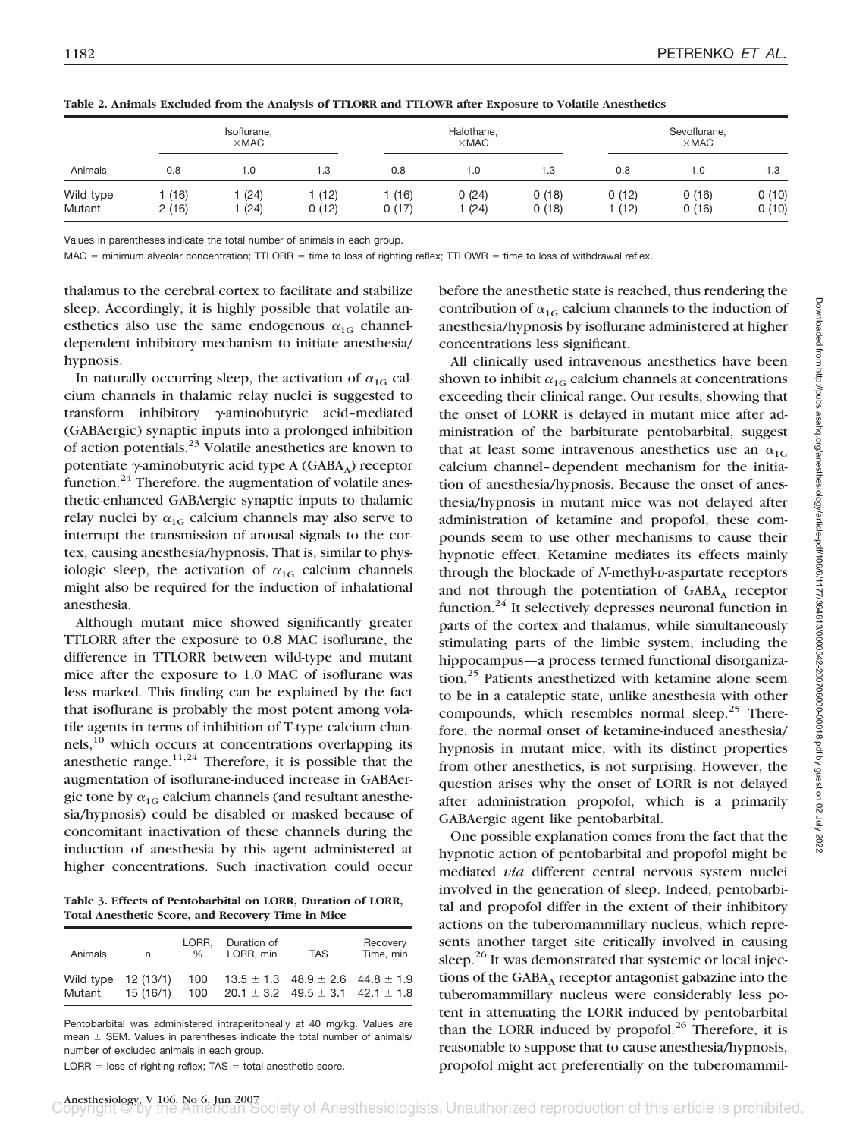| Animals             | Isoflurane,<br>$\times$ MAC |              |               | Halothane,<br>$\times$ MAC |                 |                | Sevoflurane,<br>$\times$ MAC |                |                |
|---------------------|-----------------------------|--------------|---------------|----------------------------|-----------------|----------------|------------------------------|----------------|----------------|
|                     | 0.8                         | 1.0          | 1.3           | 0.8                        | 1.0             | 1.3            | 0.8                          | 1.0            | 1.3            |
| Wild type<br>Mutant | (16)<br>2(16)               | (24)<br>(24) | (12)<br>0(12) | (16)<br>0(17)              | 0(24)<br>1 (24) | 0(18)<br>0(18) | 0(12)<br>(12)                | 0(16)<br>0(16) | 0(10)<br>0(10) |

**Table 2. Animals Excluded from the Analysis of TTLORR and TTLOWR after Exposure to Volatile Anesthetics**

Values in parentheses indicate the total number of animals in each group.

 $MAC =$  minimum alveolar concentration; TTLORR = time to loss of righting reflex; TTLOWR = time to loss of withdrawal reflex.

thalamus to the cerebral cortex to facilitate and stabilize sleep. Accordingly, it is highly possible that volatile anesthetics also use the same endogenous  $\alpha_{1G}$  channeldependent inhibitory mechanism to initiate anesthesia/ hypnosis.

In naturally occurring sleep, the activation of  $\alpha_{1G}$  calcium channels in thalamic relay nuclei is suggested to transform inhibitory  $\gamma$ -aminobutyric acid-mediated (GABAergic) synaptic inputs into a prolonged inhibition of action potentials.23 Volatile anesthetics are known to potentiate  $\gamma$ -aminobutyric acid type A (GABA<sub>A</sub>) receptor function. $24$  Therefore, the augmentation of volatile anesthetic-enhanced GABAergic synaptic inputs to thalamic relay nuclei by  $\alpha_{1G}$  calcium channels may also serve to interrupt the transmission of arousal signals to the cortex, causing anesthesia/hypnosis. That is, similar to physiologic sleep, the activation of  $\alpha_{1G}$  calcium channels might also be required for the induction of inhalational anesthesia.

Although mutant mice showed significantly greater TTLORR after the exposure to 0.8 MAC isoflurane, the difference in TTLORR between wild-type and mutant mice after the exposure to 1.0 MAC of isoflurane was less marked. This finding can be explained by the fact that isoflurane is probably the most potent among volatile agents in terms of inhibition of T-type calcium chan $nels<sub>10</sub>$  which occurs at concentrations overlapping its anesthetic range. $11,24$  Therefore, it is possible that the augmentation of isoflurane-induced increase in GABAergic tone by  $\alpha_{1G}$  calcium channels (and resultant anesthesia/hypnosis) could be disabled or masked because of concomitant inactivation of these channels during the induction of anesthesia by this agent administered at higher concentrations. Such inactivation could occur

**Table 3. Effects of Pentobarbital on LORR, Duration of LORR, Total Anesthetic Score, and Recovery Time in Mice**

| Animals             | n                     | Duration of<br>LORR.<br>LORR. min<br>℅ |  | <b>TAS</b>                                                                                   | Recovery<br>Time, min |  |
|---------------------|-----------------------|----------------------------------------|--|----------------------------------------------------------------------------------------------|-----------------------|--|
| Wild tvpe<br>Mutant | 12 (13/1)<br>15(16/1) | 100<br>100                             |  | $13.5 \pm 1.3$ 48.9 $\pm$ 2.6 44.8 $\pm$ 1.9<br>$20.1 \pm 3.2$ 49.5 $\pm$ 3.1 42.1 $\pm$ 1.8 |                       |  |

Pentobarbital was administered intraperitoneally at 40 mg/kg. Values are mean  $\pm$  SEM. Values in parentheses indicate the total number of animals/ number of excluded animals in each group.

 $LORR = loss$  of righting reflex; TAS = total anesthetic score.

before the anesthetic state is reached, thus rendering the contribution of  $\alpha_{1G}$  calcium channels to the induction of anesthesia/hypnosis by isoflurane administered at higher concentrations less significant.

All clinically used intravenous anesthetics have been shown to inhibit  $\alpha_{1G}$  calcium channels at concentrations exceeding their clinical range. Our results, showing that the onset of LORR is delayed in mutant mice after administration of the barbiturate pentobarbital, suggest that at least some intravenous anesthetics use an  $\alpha_{1G}$ calcium channel–dependent mechanism for the initiation of anesthesia/hypnosis. Because the onset of anesthesia/hypnosis in mutant mice was not delayed after administration of ketamine and propofol, these compounds seem to use other mechanisms to cause their hypnotic effect. Ketamine mediates its effects mainly through the blockade of *N*-methyl-D-aspartate receptors and not through the potentiation of  $GABA_A$  receptor function. $24$  It selectively depresses neuronal function in parts of the cortex and thalamus, while simultaneously stimulating parts of the limbic system, including the hippocampus—a process termed functional disorganization.<sup>25</sup> Patients anesthetized with ketamine alone seem to be in a cataleptic state, unlike anesthesia with other compounds, which resembles normal sleep. $25$  Therefore, the normal onset of ketamine-induced anesthesia/ hypnosis in mutant mice, with its distinct properties from other anesthetics, is not surprising. However, the question arises why the onset of LORR is not delayed after administration propofol, which is a primarily GABAergic agent like pentobarbital.

One possible explanation comes from the fact that the hypnotic action of pentobarbital and propofol might be mediated *via* different central nervous system nuclei involved in the generation of sleep. Indeed, pentobarbital and propofol differ in the extent of their inhibitory actions on the tuberomammillary nucleus, which represents another target site critically involved in causing sleep.<sup>26</sup> It was demonstrated that systemic or local injections of the GABA $_A$  receptor antagonist gabazine into the tuberomammillary nucleus were considerably less potent in attenuating the LORR induced by pentobarbital than the LORR induced by propofol.<sup>26</sup> Therefore, it is reasonable to suppose that to cause anesthesia/hypnosis, propofol might act preferentially on the tuberomammil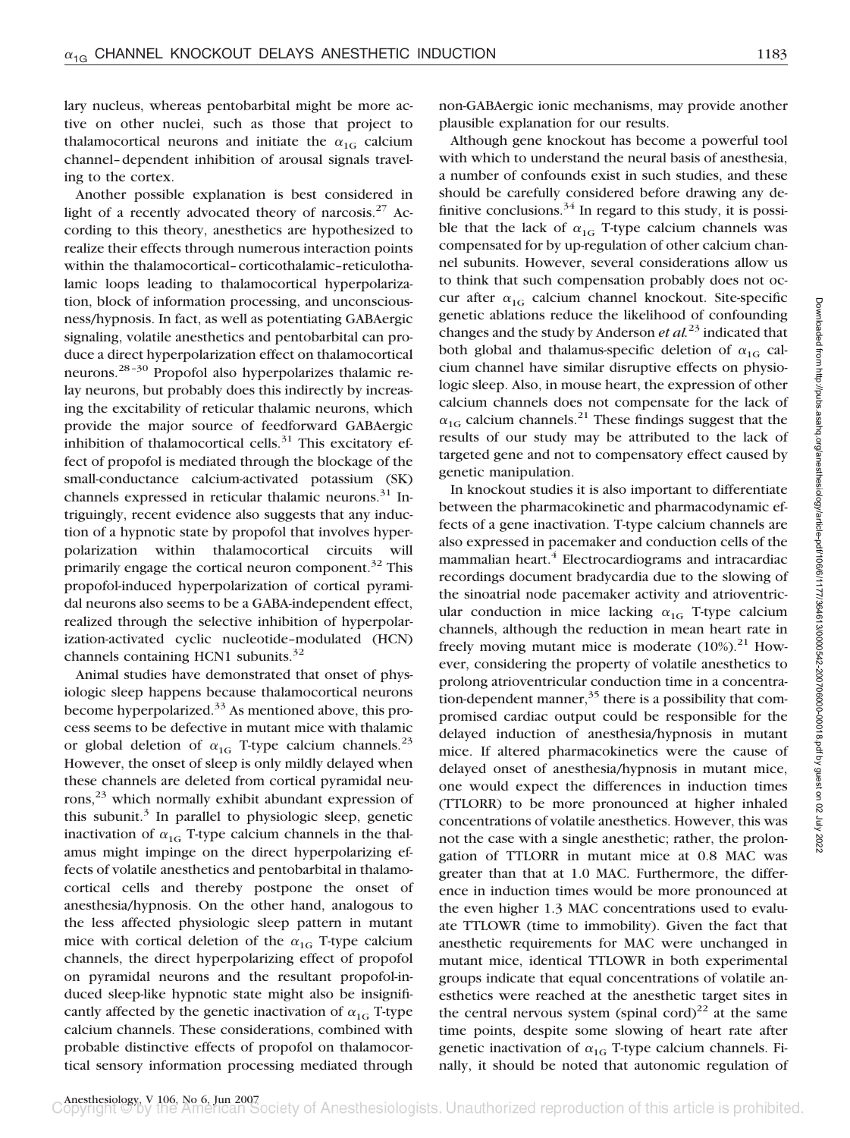lary nucleus, whereas pentobarbital might be more active on other nuclei, such as those that project to thalamocortical neurons and initiate the  $\alpha_{1G}$  calcium channel–dependent inhibition of arousal signals traveling to the cortex.

Another possible explanation is best considered in light of a recently advocated theory of narcosis. $27$  According to this theory, anesthetics are hypothesized to realize their effects through numerous interaction points within the thalamocortical–corticothalamic–reticulothalamic loops leading to thalamocortical hyperpolarization, block of information processing, and unconsciousness/hypnosis. In fact, as well as potentiating GABAergic signaling, volatile anesthetics and pentobarbital can produce a direct hyperpolarization effect on thalamocortical neurons.28–30 Propofol also hyperpolarizes thalamic relay neurons, but probably does this indirectly by increasing the excitability of reticular thalamic neurons, which provide the major source of feedforward GABAergic inhibition of thalamocortical cells. $31$  This excitatory effect of propofol is mediated through the blockage of the small-conductance calcium-activated potassium (SK) channels expressed in reticular thalamic neurons.<sup>31</sup> Intriguingly, recent evidence also suggests that any induction of a hypnotic state by propofol that involves hyperpolarization within thalamocortical circuits will primarily engage the cortical neuron component.<sup>32</sup> This propofol-induced hyperpolarization of cortical pyramidal neurons also seems to be a GABA-independent effect, realized through the selective inhibition of hyperpolarization-activated cyclic nucleotide–modulated (HCN) channels containing HCN1 subunits.<sup>32</sup>

Animal studies have demonstrated that onset of physiologic sleep happens because thalamocortical neurons become hyperpolarized. $33$  As mentioned above, this process seems to be defective in mutant mice with thalamic or global deletion of  $\alpha_{1G}$  T-type calcium channels.<sup>23</sup> However, the onset of sleep is only mildly delayed when these channels are deleted from cortical pyramidal neurons,<sup>23</sup> which normally exhibit abundant expression of this subunit. $3$  In parallel to physiologic sleep, genetic inactivation of  $\alpha_{1G}$  T-type calcium channels in the thalamus might impinge on the direct hyperpolarizing effects of volatile anesthetics and pentobarbital in thalamocortical cells and thereby postpone the onset of anesthesia/hypnosis. On the other hand, analogous to the less affected physiologic sleep pattern in mutant mice with cortical deletion of the  $\alpha_{1G}$  T-type calcium channels, the direct hyperpolarizing effect of propofol on pyramidal neurons and the resultant propofol-induced sleep-like hypnotic state might also be insignificantly affected by the genetic inactivation of  $\alpha_{1G}$  T-type calcium channels. These considerations, combined with probable distinctive effects of propofol on thalamocortical sensory information processing mediated through

non-GABAergic ionic mechanisms, may provide another plausible explanation for our results.

Although gene knockout has become a powerful tool with which to understand the neural basis of anesthesia, a number of confounds exist in such studies, and these should be carefully considered before drawing any definitive conclusions.<sup>34</sup> In regard to this study, it is possible that the lack of  $\alpha_{1G}$  T-type calcium channels was compensated for by up-regulation of other calcium channel subunits. However, several considerations allow us to think that such compensation probably does not occur after  $\alpha_{1G}$  calcium channel knockout. Site-specific genetic ablations reduce the likelihood of confounding changes and the study by Anderson *et al.*<sup>23</sup> indicated that both global and thalamus-specific deletion of  $\alpha_{1G}$  calcium channel have similar disruptive effects on physiologic sleep. Also, in mouse heart, the expression of other calcium channels does not compensate for the lack of  $\alpha_{1G}$  calcium channels.<sup>21</sup> These findings suggest that the results of our study may be attributed to the lack of targeted gene and not to compensatory effect caused by genetic manipulation.

In knockout studies it is also important to differentiate between the pharmacokinetic and pharmacodynamic effects of a gene inactivation. T-type calcium channels are also expressed in pacemaker and conduction cells of the mammalian heart.<sup>4</sup> Electrocardiograms and intracardiac recordings document bradycardia due to the slowing of the sinoatrial node pacemaker activity and atrioventricular conduction in mice lacking  $\alpha_{1G}$  T-type calcium channels, although the reduction in mean heart rate in freely moving mutant mice is moderate  $(10\%)$ .<sup>21</sup> However, considering the property of volatile anesthetics to prolong atrioventricular conduction time in a concentration-dependent manner,  $35$  there is a possibility that compromised cardiac output could be responsible for the delayed induction of anesthesia/hypnosis in mutant mice. If altered pharmacokinetics were the cause of delayed onset of anesthesia/hypnosis in mutant mice, one would expect the differences in induction times (TTLORR) to be more pronounced at higher inhaled concentrations of volatile anesthetics. However, this was not the case with a single anesthetic; rather, the prolongation of TTLORR in mutant mice at 0.8 MAC was greater than that at 1.0 MAC. Furthermore, the difference in induction times would be more pronounced at the even higher 1.3 MAC concentrations used to evaluate TTLOWR (time to immobility). Given the fact that anesthetic requirements for MAC were unchanged in mutant mice, identical TTLOWR in both experimental groups indicate that equal concentrations of volatile anesthetics were reached at the anesthetic target sites in the central nervous system (spinal cord)<sup>22</sup> at the same time points, despite some slowing of heart rate after genetic inactivation of  $\alpha_{1G}$  T-type calcium channels. Finally, it should be noted that autonomic regulation of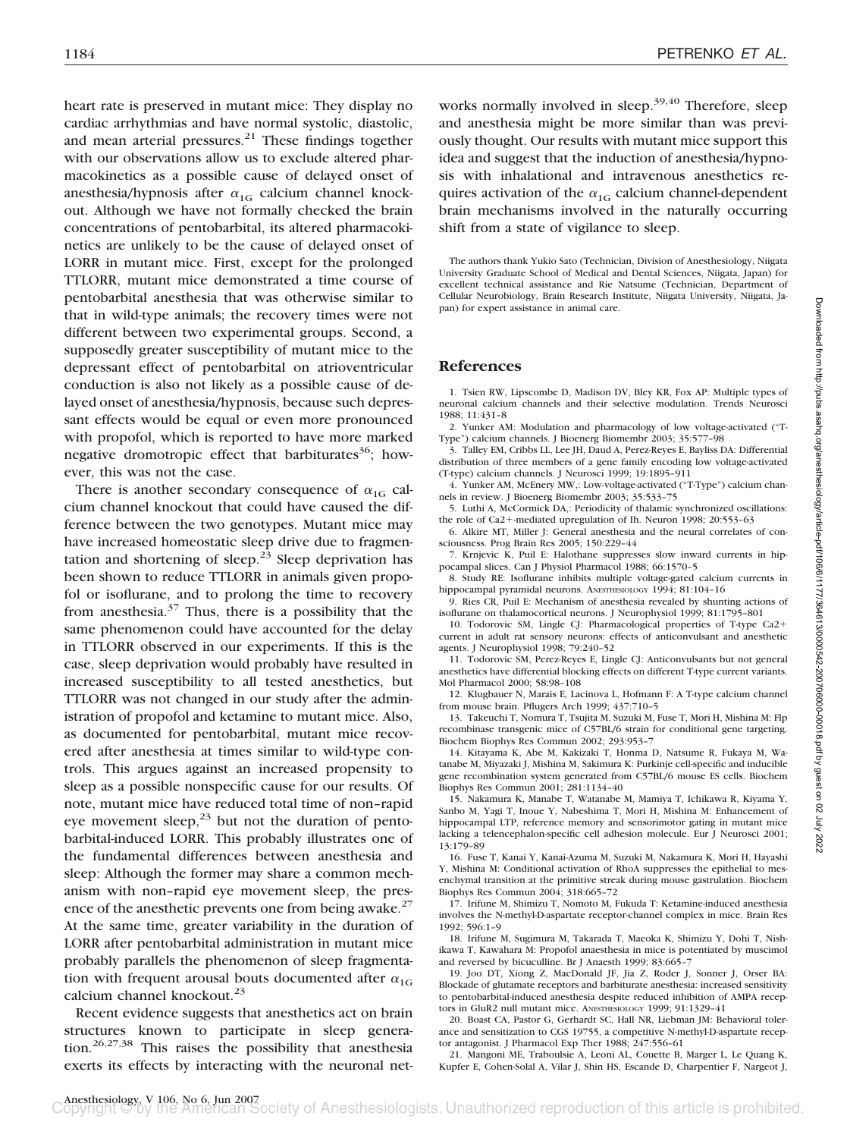heart rate is preserved in mutant mice: They display no cardiac arrhythmias and have normal systolic, diastolic, and mean arterial pressures. $^{21}$  These findings together with our observations allow us to exclude altered pharmacokinetics as a possible cause of delayed onset of anesthesia/hypnosis after  $\alpha_{1G}$  calcium channel knockout. Although we have not formally checked the brain concentrations of pentobarbital, its altered pharmacokinetics are unlikely to be the cause of delayed onset of LORR in mutant mice. First, except for the prolonged TTLORR, mutant mice demonstrated a time course of pentobarbital anesthesia that was otherwise similar to that in wild-type animals; the recovery times were not different between two experimental groups. Second, a supposedly greater susceptibility of mutant mice to the depressant effect of pentobarbital on atrioventricular conduction is also not likely as a possible cause of delayed onset of anesthesia/hypnosis, because such depressant effects would be equal or even more pronounced with propofol, which is reported to have more marked negative dromotropic effect that barbiturates<sup>36</sup>; however, this was not the case.

There is another secondary consequence of  $\alpha_{1G}$  calcium channel knockout that could have caused the difference between the two genotypes. Mutant mice may have increased homeostatic sleep drive due to fragmentation and shortening of sleep.<sup>23</sup> Sleep deprivation has been shown to reduce TTLORR in animals given propofol or isoflurane, and to prolong the time to recovery from anesthesia. $37$  Thus, there is a possibility that the same phenomenon could have accounted for the delay in TTLORR observed in our experiments. If this is the case, sleep deprivation would probably have resulted in increased susceptibility to all tested anesthetics, but TTLORR was not changed in our study after the administration of propofol and ketamine to mutant mice. Also, as documented for pentobarbital, mutant mice recovered after anesthesia at times similar to wild-type controls. This argues against an increased propensity to sleep as a possible nonspecific cause for our results. Of note, mutant mice have reduced total time of non–rapid eye movement sleep, $^{23}$  but not the duration of pentobarbital-induced LORR. This probably illustrates one of the fundamental differences between anesthesia and sleep: Although the former may share a common mechanism with non–rapid eye movement sleep, the presence of the anesthetic prevents one from being awake.<sup>27</sup> At the same time, greater variability in the duration of LORR after pentobarbital administration in mutant mice probably parallels the phenomenon of sleep fragmentation with frequent arousal bouts documented after  $\alpha_{1G}$ calcium channel knockout.<sup>23</sup>

Recent evidence suggests that anesthetics act on brain structures known to participate in sleep generation.<sup>26,27,38</sup> This raises the possibility that anesthesia exerts its effects by interacting with the neuronal networks normally involved in sleep.<sup>39,40</sup> Therefore, sleep and anesthesia might be more similar than was previously thought. Our results with mutant mice support this idea and suggest that the induction of anesthesia/hypnosis with inhalational and intravenous anesthetics requires activation of the  $\alpha_{1G}$  calcium channel-dependent brain mechanisms involved in the naturally occurring shift from a state of vigilance to sleep.

The authors thank Yukio Sato (Technician, Division of Anesthesiology, Niigata University Graduate School of Medical and Dental Sciences, Niigata, Japan) for excellent technical assistance and Rie Natsume (Technician, Department of Cellular Neurobiology, Brain Research Institute, Niigata University, Niigata, Japan) for expert assistance in animal care.

#### **References**

1. Tsien RW, Lipscombe D, Madison DV, Bley KR, Fox AP: Multiple types of neuronal calcium channels and their selective modulation. Trends Neurosci 1988; 11:431–8

2. Yunker AM: Modulation and pharmacology of low voltage-activated ("T-Type") calcium channels. J Bioenerg Biomembr 2003; 35:577–98

3. Talley EM, Cribbs LL, Lee JH, Daud A, Perez-Reyes E, Bayliss DA: Differential distribution of three members of a gene family encoding low voltage-activated (T-type) calcium channels. J Neurosci 1999; 19:1895–911

4. Yunker AM, McEnery MW,: Low-voltage-activated ("T-Type") calcium channels in review. J Bioenerg Biomembr 2003; 35:533–75

5. Luthi A, McCormick DA,: Periodicity of thalamic synchronized oscillations: the role of Ca2+-mediated upregulation of Ih. Neuron 1998; 20:553-63

6. Alkire MT, Miller J: General anesthesia and the neural correlates of consciousness. Prog Brain Res 2005; 150:229–44

7. Krnjevic K, Puil E: Halothane suppresses slow inward currents in hippocampal slices. Can J Physiol Pharmacol 1988; 66:1570–5

8. Study RE: Isoflurane inhibits multiple voltage-gated calcium currents in hippocampal pyramidal neurons. ANESTHESIOLOGY 1994; 81:104-16

9. Ries CR, Puil E: Mechanism of anesthesia revealed by shunting actions of isoflurane on thalamocortical neurons. J Neurophysiol 1999; 81:1795–801

10. Todorovic SM, Lingle CJ: Pharmacological properties of T-type Ca2 current in adult rat sensory neurons: effects of anticonvulsant and anesthetic agents. J Neurophysiol 1998; 79:240–52

11. Todorovic SM, Perez-Reyes E, Lingle CJ: Anticonvulsants but not general anesthetics have differential blocking effects on different T-type current variants. Mol Pharmacol 2000; 58:98–108

12. Klugbauer N, Marais E, Lacinova L, Hofmann F: A T-type calcium channel from mouse brain. Pflugers Arch 1999; 437:710–5

13. Takeuchi T, Nomura T, Tsujita M, Suzuki M, Fuse T, Mori H, Mishina M: Flp recombinase transgenic mice of C57BL/6 strain for conditional gene targeting. Biochem Biophys Res Commun 2002; 293:953–7

14. Kitayama K, Abe M, Kakizaki T, Honma D, Natsume R, Fukaya M, Watanabe M, Miyazaki J, Mishina M, Sakimura K: Purkinje cell-specific and inducible gene recombination system generated from C57BL/6 mouse ES cells. Biochem Biophys Res Commun 2001; 281:1134–40

15. Nakamura K, Manabe T, Watanabe M, Mamiya T, Ichikawa R, Kiyama Y, Sanbo M, Yagi T, Inoue Y, Nabeshima T, Mori H, Mishina M: Enhancement of hippocampal LTP, reference memory and sensorimotor gating in mutant mice lacking a telencephalon-specific cell adhesion molecule. Eur J Neurosci 2001; 13:179–89

16. Fuse T, Kanai Y, Kanai-Azuma M, Suzuki M, Nakamura K, Mori H, Hayashi Y, Mishina M: Conditional activation of RhoA suppresses the epithelial to mesenchymal transition at the primitive streak during mouse gastrulation. Biochem Biophys Res Commun 2004; 318:665–72

17. Irifune M, Shimizu T, Nomoto M, Fukuda T: Ketamine-induced anesthesia involves the N-methyl-D-aspartate receptor-channel complex in mice. Brain Res 1992; 596:1–9

18. Irifune M, Sugimura M, Takarada T, Maeoka K, Shimizu Y, Dohi T, Nishikawa T, Kawahara M: Propofol anaesthesia in mice is potentiated by muscimol and reversed by bicuculline. Br J Anaesth 1999; 83:665–7

19. Joo DT, Xiong Z, MacDonald JF, Jia Z, Roder J, Sonner J, Orser BA: Blockade of glutamate receptors and barbiturate anesthesia: increased sensitivity to pentobarbital-induced anesthesia despite reduced inhibition of AMPA receptors in GluR2 null mutant mice. ANESTHESIOLOGY 1999; 91:1329–41

20. Boast CA, Pastor G, Gerhardt SC, Hall NR, Liebman JM: Behavioral tolerance and sensitization to CGS 19755, a competitive N-methyl-D-aspartate receptor antagonist. J Pharmacol Exp Ther 1988; 247:556–61

21. Mangoni ME, Traboulsie A, Leoni AL, Couette B, Marger L, Le Quang K, Kupfer E, Cohen-Solal A, Vilar J, Shin HS, Escande D, Charpentier F, Nargeot J,